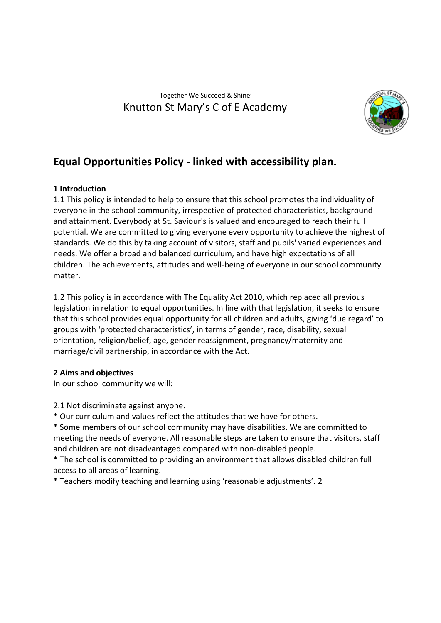## Together We Succeed & Shine' Knutton St Mary's C of E Academy



# **Equal Opportunities Policy - linked with accessibility plan.**

## **1 Introduction**

1.1 This policy is intended to help to ensure that this school promotes the individuality of everyone in the school community, irrespective of protected characteristics, background and attainment. Everybody at St. Saviour's is valued and encouraged to reach their full potential. We are committed to giving everyone every opportunity to achieve the highest of standards. We do this by taking account of visitors, staff and pupils' varied experiences and needs. We offer a broad and balanced curriculum, and have high expectations of all children. The achievements, attitudes and well-being of everyone in our school community matter.

1.2 This policy is in accordance with The Equality Act 2010, which replaced all previous legislation in relation to equal opportunities. In line with that legislation, it seeks to ensure that this school provides equal opportunity for all children and adults, giving 'due regard' to groups with 'protected characteristics', in terms of gender, race, disability, sexual orientation, religion/belief, age, gender reassignment, pregnancy/maternity and marriage/civil partnership, in accordance with the Act.

## **2 Aims and objectives**

In our school community we will:

2.1 Not discriminate against anyone.

\* Our curriculum and values reflect the attitudes that we have for others.

\* Some members of our school community may have disabilities. We are committed to meeting the needs of everyone. All reasonable steps are taken to ensure that visitors, staff and children are not disadvantaged compared with non-disabled people.

\* The school is committed to providing an environment that allows disabled children full access to all areas of learning.

\* Teachers modify teaching and learning using 'reasonable adjustments'. 2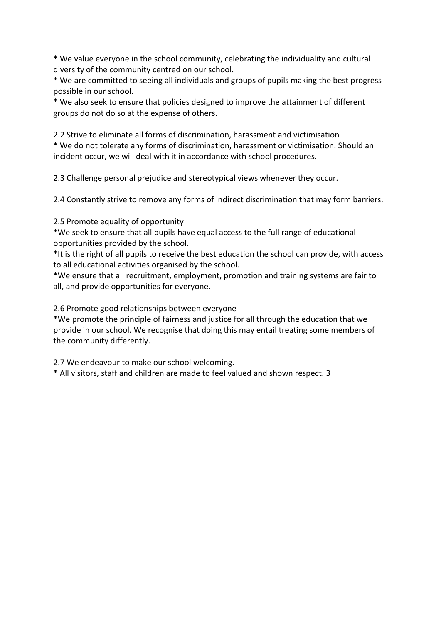\* We value everyone in the school community, celebrating the individuality and cultural diversity of the community centred on our school.

\* We are committed to seeing all individuals and groups of pupils making the best progress possible in our school.

\* We also seek to ensure that policies designed to improve the attainment of different groups do not do so at the expense of others.

2.2 Strive to eliminate all forms of discrimination, harassment and victimisation \* We do not tolerate any forms of discrimination, harassment or victimisation. Should an incident occur, we will deal with it in accordance with school procedures.

2.3 Challenge personal prejudice and stereotypical views whenever they occur.

2.4 Constantly strive to remove any forms of indirect discrimination that may form barriers.

2.5 Promote equality of opportunity

\*We seek to ensure that all pupils have equal access to the full range of educational opportunities provided by the school.

\*It is the right of all pupils to receive the best education the school can provide, with access to all educational activities organised by the school.

\*We ensure that all recruitment, employment, promotion and training systems are fair to all, and provide opportunities for everyone.

2.6 Promote good relationships between everyone

\*We promote the principle of fairness and justice for all through the education that we provide in our school. We recognise that doing this may entail treating some members of the community differently.

2.7 We endeavour to make our school welcoming.

\* All visitors, staff and children are made to feel valued and shown respect. 3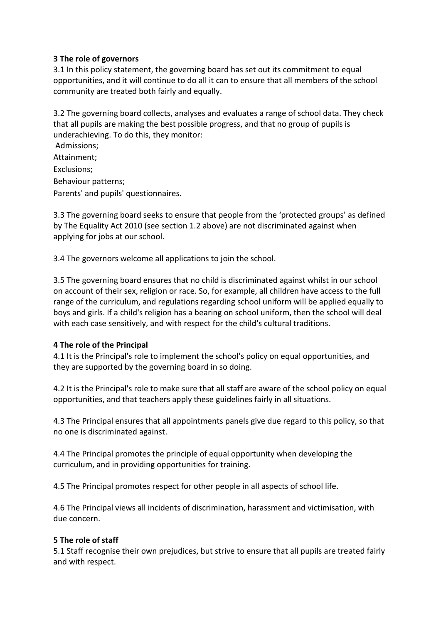#### **3 The role of governors**

3.1 In this policy statement, the governing board has set out its commitment to equal opportunities, and it will continue to do all it can to ensure that all members of the school community are treated both fairly and equally.

3.2 The governing board collects, analyses and evaluates a range of school data. They check that all pupils are making the best possible progress, and that no group of pupils is underachieving. To do this, they monitor:

Admissions; Attainment; Exclusions; Behaviour patterns; Parents' and pupils' questionnaires.

3.3 The governing board seeks to ensure that people from the 'protected groups' as defined by The Equality Act 2010 (see section 1.2 above) are not discriminated against when applying for jobs at our school.

3.4 The governors welcome all applications to join the school.

3.5 The governing board ensures that no child is discriminated against whilst in our school on account of their sex, religion or race. So, for example, all children have access to the full range of the curriculum, and regulations regarding school uniform will be applied equally to boys and girls. If a child's religion has a bearing on school uniform, then the school will deal with each case sensitively, and with respect for the child's cultural traditions.

#### **4 The role of the Principal**

4.1 It is the Principal's role to implement the school's policy on equal opportunities, and they are supported by the governing board in so doing.

4.2 It is the Principal's role to make sure that all staff are aware of the school policy on equal opportunities, and that teachers apply these guidelines fairly in all situations.

4.3 The Principal ensures that all appointments panels give due regard to this policy, so that no one is discriminated against.

4.4 The Principal promotes the principle of equal opportunity when developing the curriculum, and in providing opportunities for training.

4.5 The Principal promotes respect for other people in all aspects of school life.

4.6 The Principal views all incidents of discrimination, harassment and victimisation, with due concern.

#### **5 The role of staff**

5.1 Staff recognise their own prejudices, but strive to ensure that all pupils are treated fairly and with respect.